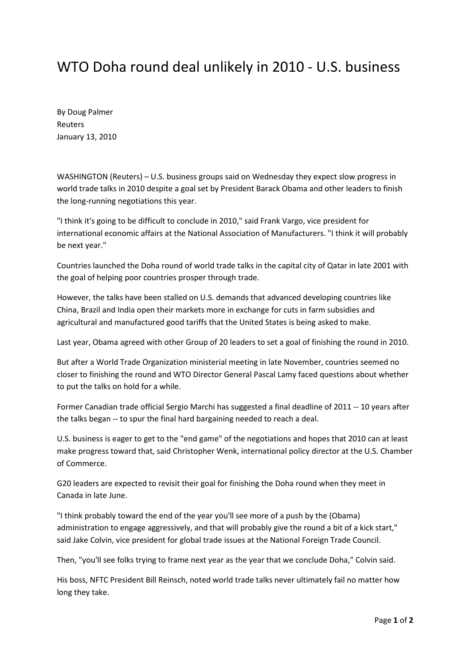## WTO Doha round deal unlikely in 2010 - U.S. business

By Doug Palmer Reuters January 13, 2010

WASHINGTON (Reuters) – U.S. business groups said on Wednesday they expect slow progress in world trade talks in 2010 despite a goal set by President Barack Obama and other leaders to finish the long-running negotiations this year.

"I think it's going to be difficult to conclude in 2010," said Frank Vargo, vice president for international economic affairs at the National Association of Manufacturers. "I think it will probably be next year."

Countries launched the Doha round of world trade talks in the capital city of Qatar in late 2001 with the goal of helping poor countries prosper through trade.

However, the talks have been stalled on U.S. demands that advanced developing countries like China, Brazil and India open their markets more in exchange for cuts in farm subsidies and agricultural and manufactured good tariffs that the United States is being asked to make.

Last year, Obama agreed with other Group of 20 leaders to set a goal of finishing the round in 2010.

But after a World Trade Organization ministerial meeting in late November, countries seemed no closer to finishing the round and WTO Director General Pascal Lamy faced questions about whether to put the talks on hold for a while.

Former Canadian trade official Sergio Marchi has suggested a final deadline of 2011 -- 10 years after the talks began -- to spur the final hard bargaining needed to reach a deal.

U.S. business is eager to get to the "end game" of the negotiations and hopes that 2010 can at least make progress toward that, said Christopher Wenk, international policy director at the U.S. Chamber of Commerce.

G20 leaders are expected to revisit their goal for finishing the Doha round when they meet in Canada in late June.

"I think probably toward the end of the year you'll see more of a push by the (Obama) administration to engage aggressively, and that will probably give the round a bit of a kick start," said Jake Colvin, vice president for global trade issues at the National Foreign Trade Council.

Then, "you'll see folks trying to frame next year as the year that we conclude Doha," Colvin said.

His boss, NFTC President Bill Reinsch, noted world trade talks never ultimately fail no matter how long they take.